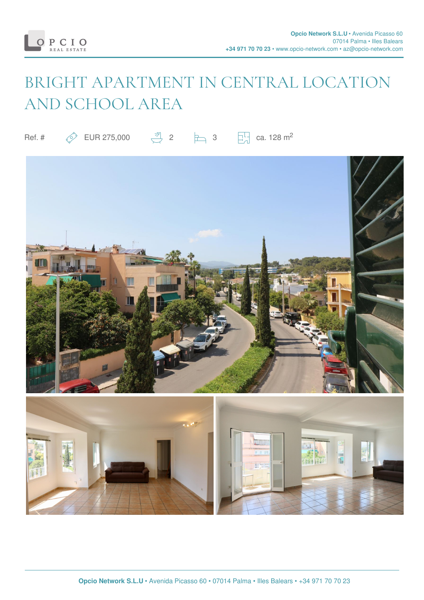

# BRIGHT APARTMENT IN CENTRAL LOCATION AND SCHOOL AREA

Ref. #  $\oslash$  EUR 275,000  $\frac{30}{2}$  2  $\spadesuit$  3  $\Box$  ca. 128 m<sup>2</sup>

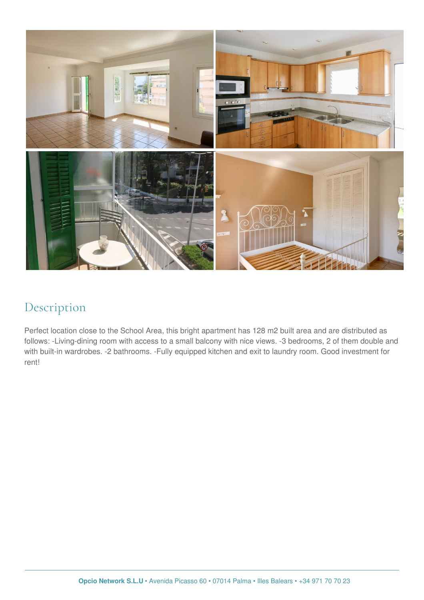

#### Description

Perfect location close to the School Area, this bright apartment has 128 m2 built area and are distributed as follows: -Living-dining room with access to a small balcony with nice views. -3 bedrooms, 2 of them double and with built-in wardrobes. -2 bathrooms. -Fully equipped kitchen and exit to laundry room. Good investment for rent!